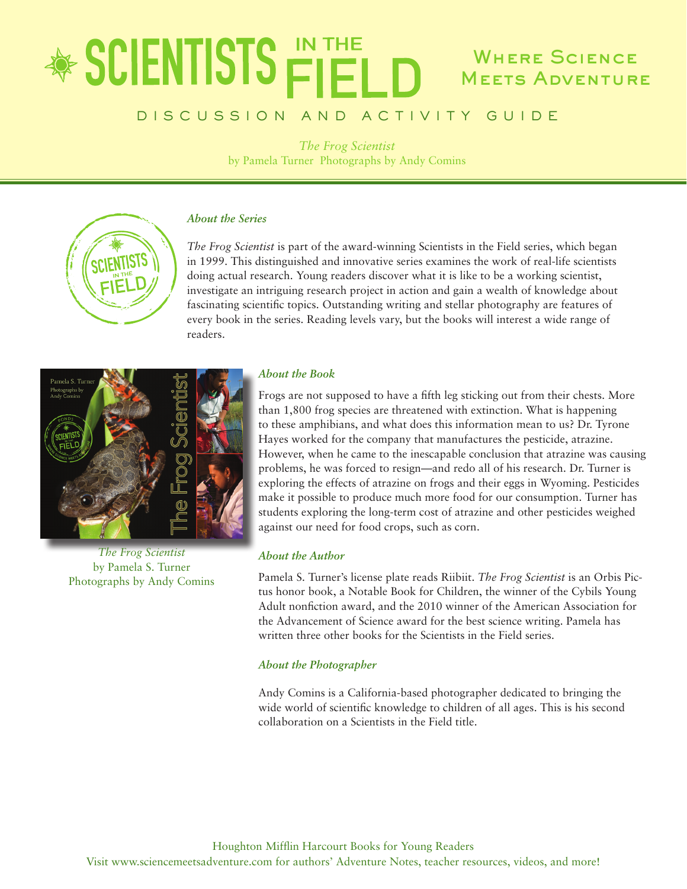### \* SCIENTISTS FIEL WHERE SCIENCE **MEETS ADVENTURE**

### DISCUSSION AND ACTIVITY GUIDE

*The Frog Scientist* by Pamela Turner Photographs by Andy Comins



*The Frog Scientist* is part of the award-winning Scientists in the Field series, which began in 1999. This distinguished and innovative series examines the work of real-life scientists doing actual research. Young readers discover what it is like to be a working scientist, investigate an intriguing research project in action and gain a wealth of knowledge about fascinating scientific topics. Outstanding writing and stellar photography are features of every book in the series. Reading levels vary, but the books will interest a wide range of readers.



*The Frog Scientist* by Pamela S. Turner Photographs by Andy Comins

### *About the Book*

Frogs are not supposed to have a fifth leg sticking out from their chests. More than 1,800 frog species are threatened with extinction. What is happening to these amphibians, and what does this information mean to us? Dr. Tyrone Hayes worked for the company that manufactures the pesticide, atrazine. However, when he came to the inescapable conclusion that atrazine was causing problems, he was forced to resign—and redo all of his research. Dr. Turner is exploring the effects of atrazine on frogs and their eggs in Wyoming. Pesticides make it possible to produce much more food for our consumption. Turner has students exploring the long-term cost of atrazine and other pesticides weighed against our need for food crops, such as corn.

### *About the Author*

Pamela S. Turner's license plate reads Riibiit. *The Frog Scientist* is an Orbis Pictus honor book, a Notable Book for Children, the winner of the Cybils Young Adult nonfiction award, and the 2010 winner of the American Association for the Advancement of Science award for the best science writing. Pamela has written three other books for the Scientists in the Field series.

### *About the Photographer*

Andy Comins is a California-based photographer dedicated to bringing the wide world of scientific knowledge to children of all ages. This is his second collaboration on a Scientists in the Field title.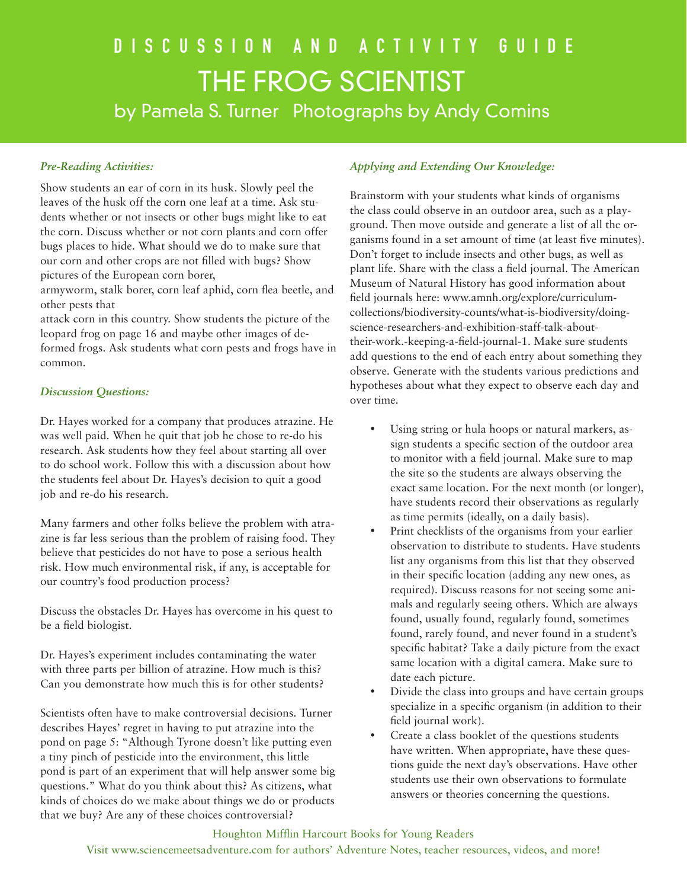## DISCUSSION AND ACTIVITY GUIDE THE FROG SCIENTIST by Pamela S. Turner Photographs by Andy Comins

### *Pre-Reading Activities:*

Show students an ear of corn in its husk. Slowly peel the leaves of the husk off the corn one leaf at a time. Ask students whether or not insects or other bugs might like to eat the corn. Discuss whether or not corn plants and corn offer bugs places to hide. What should we do to make sure that our corn and other crops are not filled with bugs? Show pictures of the European corn borer,

armyworm, stalk borer, corn leaf aphid, corn flea beetle, and other pests that

attack corn in this country. Show students the picture of the leopard frog on page 16 and maybe other images of deformed frogs. Ask students what corn pests and frogs have in common.

### *Discussion Questions:*

Dr. Hayes worked for a company that produces atrazine. He was well paid. When he quit that job he chose to re-do his research. Ask students how they feel about starting all over to do school work. Follow this with a discussion about how the students feel about Dr. Hayes's decision to quit a good job and re-do his research.

Many farmers and other folks believe the problem with atrazine is far less serious than the problem of raising food. They believe that pesticides do not have to pose a serious health risk. How much environmental risk, if any, is acceptable for our country's food production process?

Discuss the obstacles Dr. Hayes has overcome in his quest to be a field biologist.

Dr. Hayes's experiment includes contaminating the water with three parts per billion of atrazine. How much is this? Can you demonstrate how much this is for other students?

Scientists often have to make controversial decisions. Turner describes Hayes' regret in having to put atrazine into the pond on page 5: "Although Tyrone doesn't like putting even a tiny pinch of pesticide into the environment, this little pond is part of an experiment that will help answer some big questions." What do you think about this? As citizens, what kinds of choices do we make about things we do or products that we buy? Are any of these choices controversial?

### *Applying and Extending Our Knowledge:*

Brainstorm with your students what kinds of organisms the class could observe in an outdoor area, such as a playground. Then move outside and generate a list of all the organisms found in a set amount of time (at least five minutes). Don't forget to include insects and other bugs, as well as plant life. Share with the class a field journal. The American Museum of Natural History has good information about field journals here: www.amnh.org/explore/curriculumcollections/biodiversity-counts/what-is-biodiversity/doingscience-researchers-and-exhibition-staff-talk-abouttheir-work.-keeping-a-field-journal-1. Make sure students add questions to the end of each entry about something they observe. Generate with the students various predictions and hypotheses about what they expect to observe each day and over time.

- • Using string or hula hoops or natural markers, assign students a specific section of the outdoor area to monitor with a field journal. Make sure to map the site so the students are always observing the exact same location. For the next month (or longer), have students record their observations as regularly as time permits (ideally, on a daily basis).
- Print checklists of the organisms from your earlier observation to distribute to students. Have students list any organisms from this list that they observed in their specific location (adding any new ones, as required). Discuss reasons for not seeing some animals and regularly seeing others. Which are always found, usually found, regularly found, sometimes found, rarely found, and never found in a student's specific habitat? Take a daily picture from the exact same location with a digital camera. Make sure to date each picture.
- Divide the class into groups and have certain groups specialize in a specific organism (in addition to their field journal work).
- Create a class booklet of the questions students have written. When appropriate, have these questions guide the next day's observations. Have other students use their own observations to formulate answers or theories concerning the questions.

### Houghton Mifflin Harcourt Books for Young Readers

Visit www.sciencemeetsadventure.com for authors' Adventure Notes, teacher resources, videos, and more!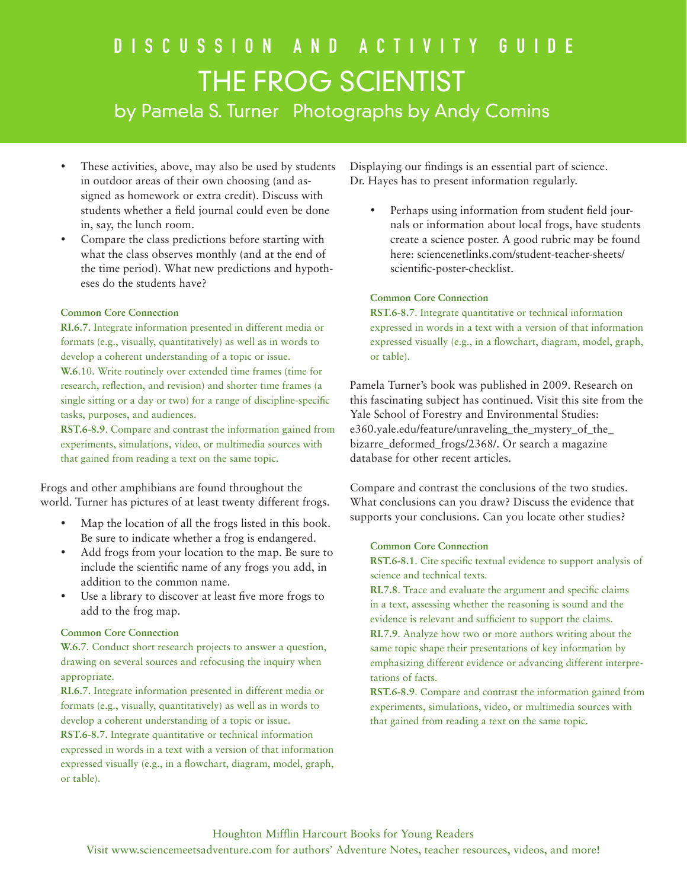# DISCUSSION AND ACTIVITY GUIDE THE FROG SCIENTIST

by Pamela S. Turner Photographs by Andy Comins

- These activities, above, may also be used by students in outdoor areas of their own choosing (and assigned as homework or extra credit). Discuss with students whether a field journal could even be done in, say, the lunch room.
- Compare the class predictions before starting with what the class observes monthly (and at the end of the time period). What new predictions and hypotheses do the students have?

### **Common Core Connection**

**RI.6.7.** Integrate information presented in different media or formats (e.g., visually, quantitatively) as well as in words to develop a coherent understanding of a topic or issue. **W.6**.10. Write routinely over extended time frames (time for research, reflection, and revision) and shorter time frames (a single sitting or a day or two) for a range of discipline-specific tasks, purposes, and audiences.

**RST.6-8.9**. Compare and contrast the information gained from experiments, simulations, video, or multimedia sources with that gained from reading a text on the same topic.

Frogs and other amphibians are found throughout the world. Turner has pictures of at least twenty different frogs.

- Map the location of all the frogs listed in this book. Be sure to indicate whether a frog is endangered.
- Add frogs from your location to the map. Be sure to include the scientific name of any frogs you add, in addition to the common name.
- Use a library to discover at least five more frogs to add to the frog map.

### **Common Core Connection**

**W.6.7**. Conduct short research projects to answer a question, drawing on several sources and refocusing the inquiry when appropriate.

**RI.6.7.** Integrate information presented in different media or formats (e.g., visually, quantitatively) as well as in words to develop a coherent understanding of a topic or issue.

**RST.6-8.7.** Integrate quantitative or technical information expressed in words in a text with a version of that information expressed visually (e.g., in a flowchart, diagram, model, graph, or table).

Displaying our findings is an essential part of science. Dr. Hayes has to present information regularly.

• Perhaps using information from student field journals or information about local frogs, have students create a science poster. A good rubric may be found here: sciencenetlinks.com/student-teacher-sheets/ scientific-poster-checklist.

### **Common Core Connection**

**RST.6-8.7**. Integrate quantitative or technical information expressed in words in a text with a version of that information expressed visually (e.g., in a flowchart, diagram, model, graph, or table).

Pamela Turner's book was published in 2009. Research on this fascinating subject has continued. Visit this site from the Yale School of Forestry and Environmental Studies: e360.yale.edu/feature/unraveling\_the\_mystery\_of\_the\_ bizarre\_deformed\_frogs/2368/. Or search a magazine database for other recent articles.

Compare and contrast the conclusions of the two studies. What conclusions can you draw? Discuss the evidence that supports your conclusions. Can you locate other studies?

### **Common Core Connection**

**RST.6-8.1**. Cite specific textual evidence to support analysis of science and technical texts.

**RI.7.8**. Trace and evaluate the argument and specific claims in a text, assessing whether the reasoning is sound and the evidence is relevant and sufficient to support the claims.

**RI.7.9**. Analyze how two or more authors writing about the same topic shape their presentations of key information by emphasizing different evidence or advancing different interpretations of facts.

**RST.6-8.9**. Compare and contrast the information gained from experiments, simulations, video, or multimedia sources with that gained from reading a text on the same topic.